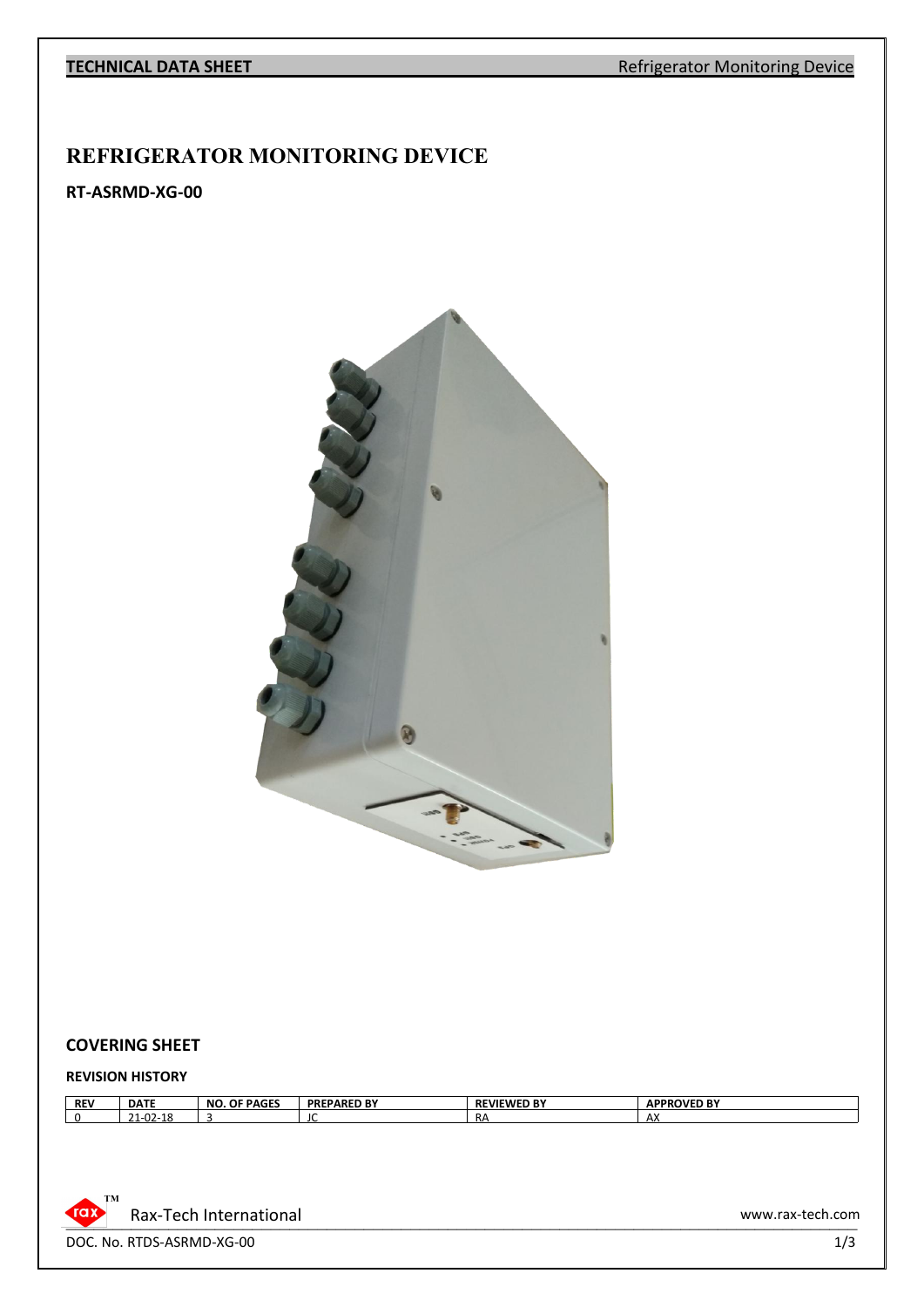#### **TECHNICAL DATA SHEET** Refrigerator Monitoring Device

## **REFRIGERATOR MONITORING DEVICE**

## **RT-ASRMD-XG-00**



#### **COVERING SHEET**

#### **REVISION HISTORY**

| <b>REV</b> | <b>DATE</b>                                                | OF BAGES<br>NC.<br><b>PAGES</b> | <b>PARED BY</b><br><b>PRF</b> | <b><i>EWED RY</i></b><br><b>REVII</b><br>D | <b>ROVED BY</b><br><b>APPF</b> |
|------------|------------------------------------------------------------|---------------------------------|-------------------------------|--------------------------------------------|--------------------------------|
|            | . .<br>$\sim$<br>$\mathbf{a}$<br>$-1 - UZ - J$<br><u>_</u> |                                 | J                             | -<br>KΑ                                    | $\sim$<br>АΧ                   |



DOC. No. RTDS-ASRMD-XG-00 1/3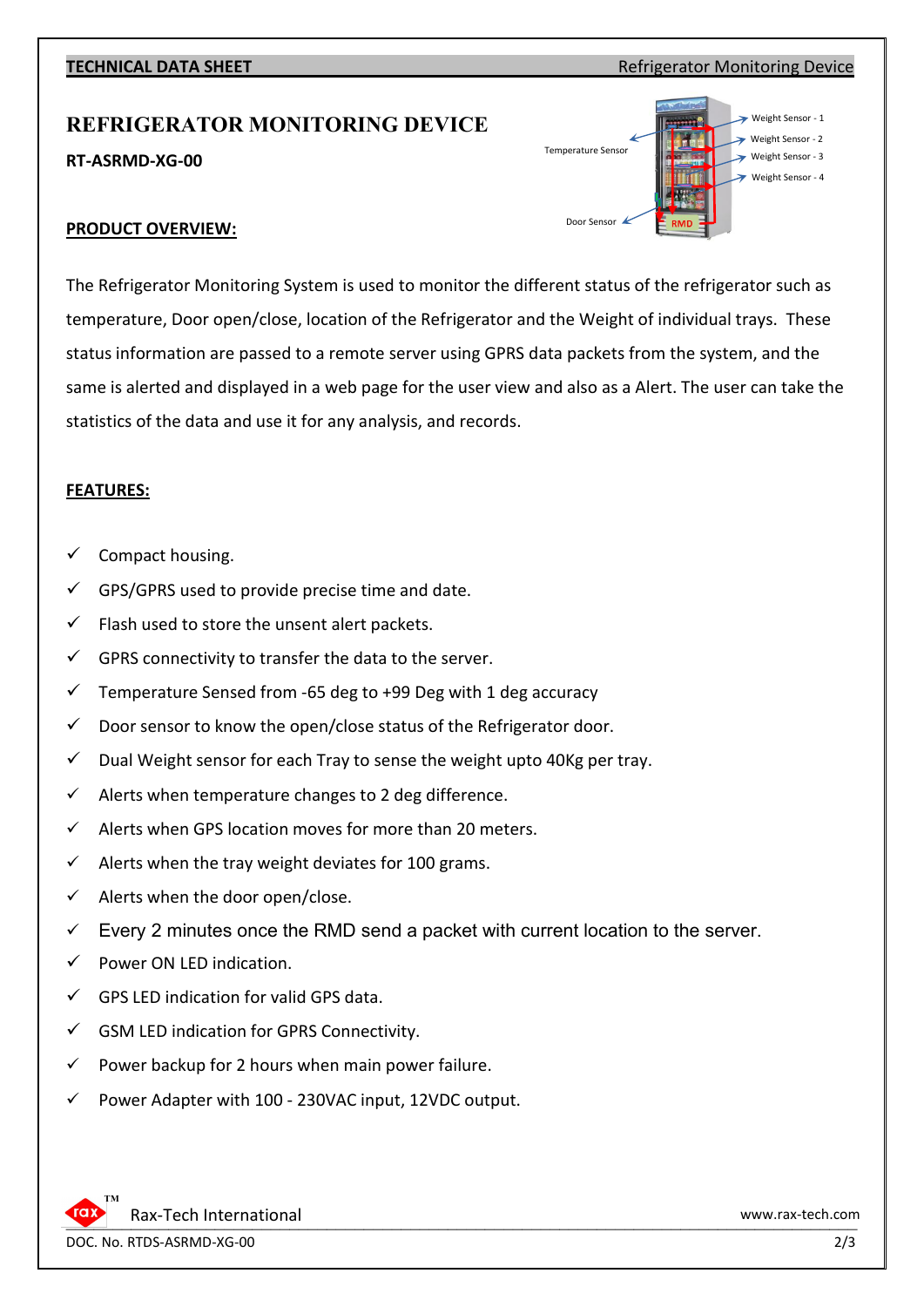## **TECHNICAL DATA SHEET Refrigerator Monitoring Device**

# **REFRIGERATOR MONITORING DEVICE**

**RT-ASRMD-XG-00**



## **PRODUCT OVERVIEW:**

The Refrigerator Monitoring System is used to monitor the different status of the refrigerator such as temperature, Door open/close, location of the Refrigerator and the Weight of individual trays. These status information are passed to a remote server using GPRS data packets from the system, and the same is alerted and displayed in a web page for the user view and also as a Alert. The user can take the statistics of the data and use it for any analysis, and records.

### **FEATURES:**

- Compact housing.
- GPS/GPRS used to provide precise time and date.
- Flash used to store the unsent alert packets.
- $\checkmark$  GPRS connectivity to transfer the data to the server.
- $\checkmark$  Temperature Sensed from -65 deg to +99 Deg with 1 deg accuracy
- $\checkmark$  Door sensor to know the open/close status of the Refrigerator door.
- $\checkmark$  Dual Weight sensor for each Tray to sense the weight upto 40Kg per tray.
- $\checkmark$  Alerts when temperature changes to 2 deg difference.
- $\checkmark$  Alerts when GPS location moves for more than 20 meters.
- $\checkmark$  Alerts when the tray weight deviates for 100 grams.
- Alerts when the door open/close.
- Every 2 minutes once the RMD send a packet with current location to the server.
- Power ON LED indication.
- GPS LED indication for valid GPS data.
- $\checkmark$  GSM LED indication for GPRS Connectivity.
- $\checkmark$  Power backup for 2 hours when main power failure.
- Power Adapter with 100 230VAC input, 12VDC output.

DOC. No. RTDS-ASRMD-XG-00 2/3